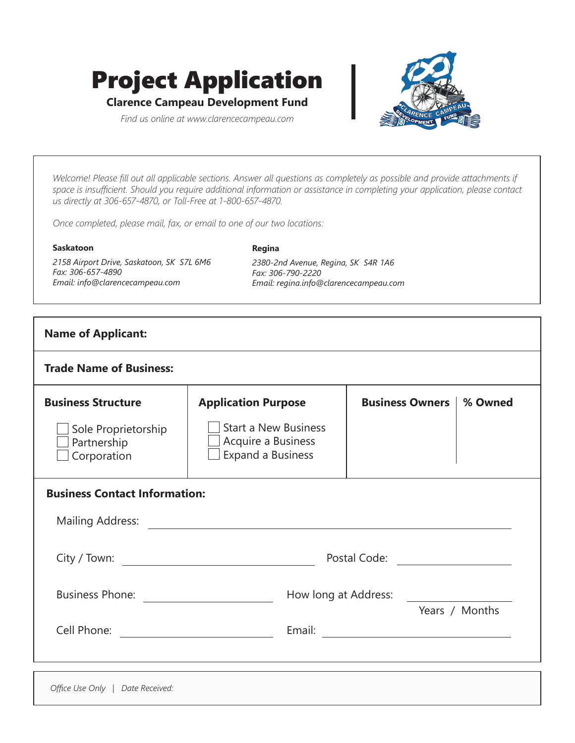# Project Application

**Clarence Campeau Development Fund**

*Find us online at www.clarencecampeau.com*



*Welcome! Please fill out all applicable sections. Answer all questions as completely as possible and provide attachments if space is insufficient. Should you require additional information or assistance in completing your application, please contact us directly at 306-657-4870, or Toll-Free at 1-800-657-4870.*

**Regina**

*Once completed, please mail, fax, or email to one of our two locations:*

#### **Saskatoon**

*2158 Airport Drive, Saskatoon, SK S7L 6M6 Fax: 306-657-4890 Email: info@clarencecampeau.com*

*2380-2nd Avenue, Regina, SK S4R 1A6 Fax: 306-790-2220 Email: regina.info@clarencecampeau.com*

| <b>Name of Applicant:</b>                                                                                                                                                                                                      |                                                                                                                                                                                                                                      |                        |  |                |  |
|--------------------------------------------------------------------------------------------------------------------------------------------------------------------------------------------------------------------------------|--------------------------------------------------------------------------------------------------------------------------------------------------------------------------------------------------------------------------------------|------------------------|--|----------------|--|
| <b>Trade Name of Business:</b>                                                                                                                                                                                                 |                                                                                                                                                                                                                                      |                        |  |                |  |
| <b>Business Structure</b><br>Sole Proprietorship<br>Partnership<br>Corporation                                                                                                                                                 | <b>Application Purpose</b><br><b>Start a New Business</b><br>$\Box$ Acquire a Business<br>$\Box$ Expand a Business                                                                                                                   | <b>Business Owners</b> |  | % Owned        |  |
| <b>Business Contact Information:</b>                                                                                                                                                                                           | Mailing Address: <u>Andrease and the series of the series of the series of the series of the series of the series of the series of the series of the series of the series of the series of the series of the series of the serie</u> |                        |  |                |  |
|                                                                                                                                                                                                                                | Postal Code: <u>____________________</u>                                                                                                                                                                                             |                        |  |                |  |
|                                                                                                                                                                                                                                | How long at Address:                                                                                                                                                                                                                 |                        |  | Years / Months |  |
| Cell Phone: New York State State State State State State State State State State State State State State State State State State State State State State State State State State State State State State State State State Sta |                                                                                                                                                                                                                                      |                        |  |                |  |

*Office Use Only | Date Received:*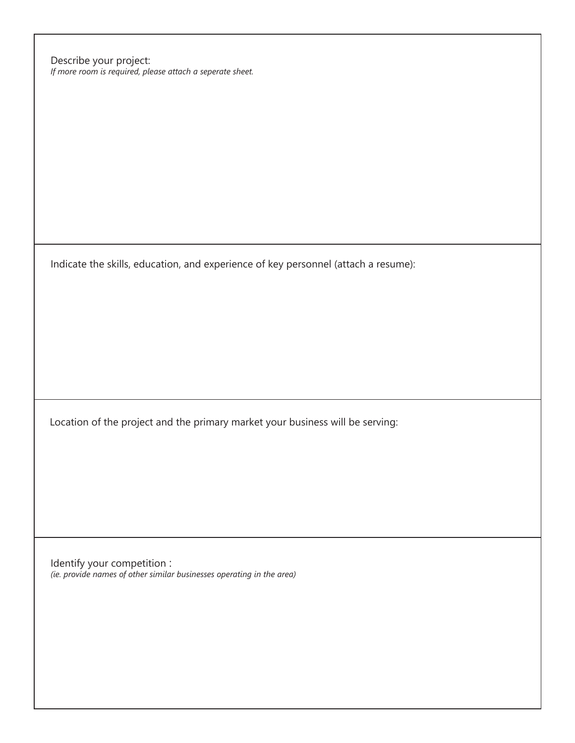Describe your project: *If more room is required, please attach a seperate sheet.*

Indicate the skills, education, and experience of key personnel (attach a resume):

Location of the project and the primary market your business will be serving:

Identify your competition : *(ie. provide names of other similar businesses operating in the area)*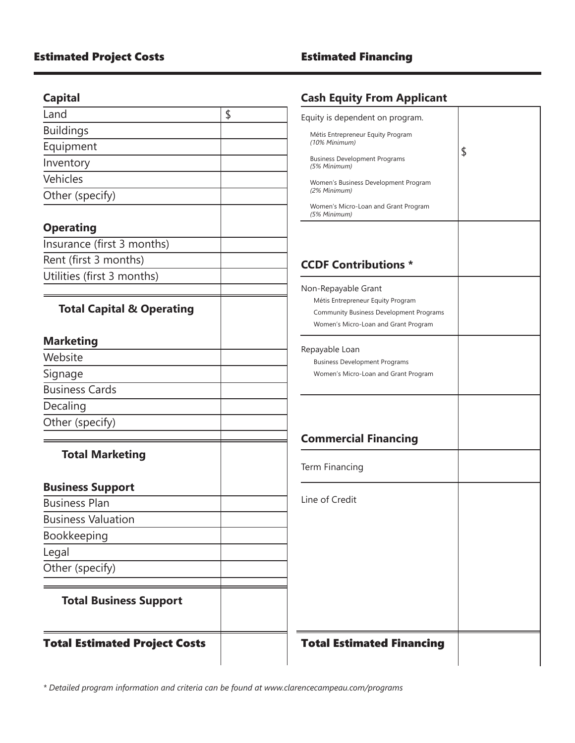# **Capital**

| Equity is dependent on program.<br>Métis Entrepreneur Equity Program<br>(10% Minimum)<br><b>Business Development Programs</b><br>(5% Minimum)<br>Women's Business Development Program<br>(2% Minimum)<br>Women's Micro-Loan and Grant Program<br>(5% Minimum) |
|---------------------------------------------------------------------------------------------------------------------------------------------------------------------------------------------------------------------------------------------------------------|
|                                                                                                                                                                                                                                                               |
|                                                                                                                                                                                                                                                               |
|                                                                                                                                                                                                                                                               |
|                                                                                                                                                                                                                                                               |
|                                                                                                                                                                                                                                                               |
|                                                                                                                                                                                                                                                               |
|                                                                                                                                                                                                                                                               |
|                                                                                                                                                                                                                                                               |
|                                                                                                                                                                                                                                                               |
| <b>CCDF Contributions *</b>                                                                                                                                                                                                                                   |
|                                                                                                                                                                                                                                                               |
| Non-Repayable Grant<br>Métis Entrepreneur Equity Program                                                                                                                                                                                                      |
| <b>Community Business Development Programs</b>                                                                                                                                                                                                                |
| Women's Micro-Loan and Grant Program                                                                                                                                                                                                                          |
|                                                                                                                                                                                                                                                               |
| Repayable Loan<br><b>Business Development Programs</b>                                                                                                                                                                                                        |
| Women's Micro-Loan and Grant Program                                                                                                                                                                                                                          |
|                                                                                                                                                                                                                                                               |
|                                                                                                                                                                                                                                                               |
|                                                                                                                                                                                                                                                               |
| <b>Commercial Financing</b>                                                                                                                                                                                                                                   |
|                                                                                                                                                                                                                                                               |
| Term Financing                                                                                                                                                                                                                                                |
|                                                                                                                                                                                                                                                               |
| Line of Credit                                                                                                                                                                                                                                                |
|                                                                                                                                                                                                                                                               |
|                                                                                                                                                                                                                                                               |
|                                                                                                                                                                                                                                                               |
|                                                                                                                                                                                                                                                               |
|                                                                                                                                                                                                                                                               |
| <b>Total Estimated Financing</b>                                                                                                                                                                                                                              |
|                                                                                                                                                                                                                                                               |

# **Cash Equity From Applicant**

| Equity is dependent on program.                                                 |    |
|---------------------------------------------------------------------------------|----|
| Métis Entrepreneur Equity Program<br>(10% Minimum)                              |    |
| <b>Business Development Programs</b><br>(5% Minimum)                            | \$ |
| Women's Business Development Program<br>(2% Minimum)                            |    |
| Women's Micro-Loan and Grant Program<br>(5% Minimum)                            |    |
|                                                                                 |    |
| <b>CCDF Contributions *</b>                                                     |    |
| Non-Repayable Grant                                                             |    |
| Métis Entrepreneur Equity Program                                               |    |
| Community Business Development Programs<br>Women's Micro-Loan and Grant Program |    |
| Repayable Loan                                                                  |    |
| <b>Business Development Programs</b>                                            |    |
| Women's Micro-Loan and Grant Program                                            |    |
|                                                                                 |    |
| <b>Commercial Financing</b>                                                     |    |
| Term Financing                                                                  |    |
| Line of Credit                                                                  |    |
|                                                                                 |    |
|                                                                                 |    |
|                                                                                 |    |
|                                                                                 |    |
|                                                                                 |    |
|                                                                                 |    |
| <b>Total Estimated Financing</b>                                                |    |
|                                                                                 |    |

*\* Detailed program information and criteria can be found at www.clarencecampeau.com/programs*